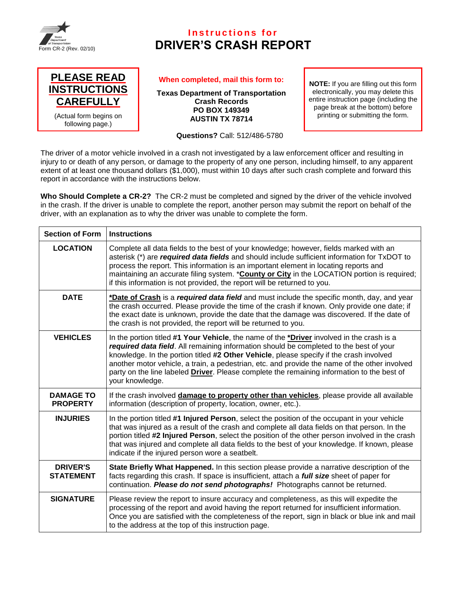

## **Instructions for DRIVER'S CRASH REPORT**



## **When completed, mail this form to:**

**Texas Department of Transportation Crash Records PO BOX 149349 AUSTIN TX 78714**

**Questions?** Call: 512/486-5780

**NOTE:** If you are filling out this form electronically, you may delete this entire instruction page (including the page break at the bottom) before printing or submitting the form.

The driver of a motor vehicle involved in a crash not investigated by a law enforcement officer and resulting in injury to or death of any person, or damage to the property of any one person, including himself, to any apparent extent of at least one thousand dollars (\$1,000), must within 10 days after such crash complete and forward this report in accordance with the instructions below.

**Who Should Complete a CR-2?** The CR-2 must be completed and signed by the driver of the vehicle involved in the crash. If the driver is unable to complete the report, another person may submit the report on behalf of the driver, with an explanation as to why the driver was unable to complete the form.

| <b>Section of Form</b>              | <b>Instructions</b>                                                                                                                                                                                                                                                                                                                                                                                                                                                                                      |
|-------------------------------------|----------------------------------------------------------------------------------------------------------------------------------------------------------------------------------------------------------------------------------------------------------------------------------------------------------------------------------------------------------------------------------------------------------------------------------------------------------------------------------------------------------|
| <b>LOCATION</b>                     | Complete all data fields to the best of your knowledge; however, fields marked with an<br>asterisk (*) are <i>required data fields</i> and should include sufficient information for TxDOT to<br>process the report. This information is an important element in locating reports and<br>maintaining an accurate filing system. * County or City in the LOCATION portion is required;<br>if this information is not provided, the report will be returned to you.                                        |
| <b>DATE</b>                         | *Date of Crash is a required data field and must include the specific month, day, and year<br>the crash occurred. Please provide the time of the crash if known. Only provide one date; if<br>the exact date is unknown, provide the date that the damage was discovered. If the date of<br>the crash is not provided, the report will be returned to you.                                                                                                                                               |
| <b>VEHICLES</b>                     | In the portion titled #1 Your Vehicle, the name of the *Driver involved in the crash is a<br>required data field. All remaining information should be completed to the best of your<br>knowledge. In the portion titled #2 Other Vehicle, please specify if the crash involved<br>another motor vehicle, a train, a pedestrian, etc. and provide the name of the other involved<br>party on the line labeled <b>Driver</b> . Please complete the remaining information to the best of<br>your knowledge. |
| <b>DAMAGE TO</b><br><b>PROPERTY</b> | If the crash involved damage to property other than vehicles, please provide all available<br>information (description of property, location, owner, etc.).                                                                                                                                                                                                                                                                                                                                              |
| <b>INJURIES</b>                     | In the portion titled #1 Injured Person, select the position of the occupant in your vehicle<br>that was injured as a result of the crash and complete all data fields on that person. In the<br>portion titled #2 Injured Person, select the position of the other person involved in the crash<br>that was injured and complete all data fields to the best of your knowledge. If known, please<br>indicate if the injured person wore a seatbelt.                                                     |
| <b>DRIVER'S</b><br><b>STATEMENT</b> | State Briefly What Happened. In this section please provide a narrative description of the<br>facts regarding this crash. If space is insufficient, attach a <i>full size</i> sheet of paper for<br>continuation. Please do not send photographs! Photographs cannot be returned.                                                                                                                                                                                                                        |
| <b>SIGNATURE</b>                    | Please review the report to insure accuracy and completeness, as this will expedite the<br>processing of the report and avoid having the report returned for insufficient information.<br>Once you are satisfied with the completeness of the report, sign in black or blue ink and mail<br>to the address at the top of this instruction page.                                                                                                                                                          |